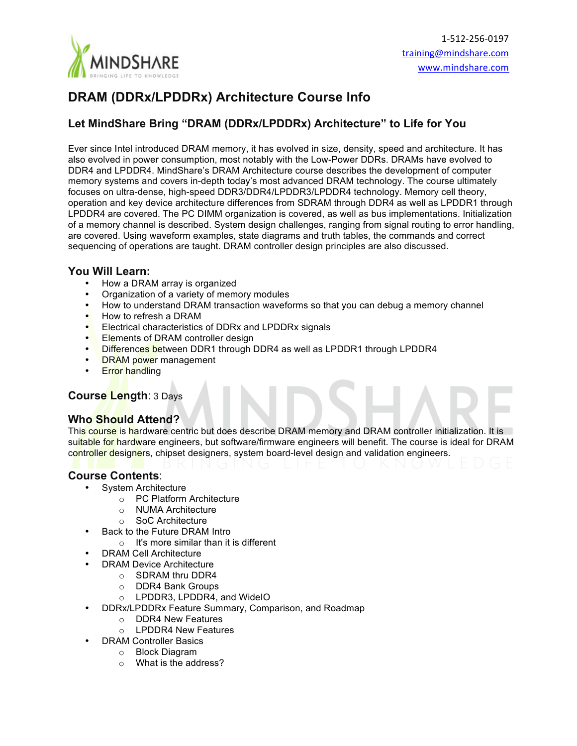

# **DRAM (DDRx/LPDDRx) Architecture Course Info**

# **Let MindShare Bring "DRAM (DDRx/LPDDRx) Architecture" to Life for You**

Ever since Intel introduced DRAM memory, it has evolved in size, density, speed and architecture. It has also evolved in power consumption, most notably with the Low-Power DDRs. DRAMs have evolved to DDR4 and LPDDR4. MindShare's DRAM Architecture course describes the development of computer memory systems and covers in-depth today's most advanced DRAM technology. The course ultimately focuses on ultra-dense, high-speed DDR3/DDR4/LPDDR3/LPDDR4 technology. Memory cell theory, operation and key device architecture differences from SDRAM through DDR4 as well as LPDDR1 through LPDDR4 are covered. The PC DIMM organization is covered, as well as bus implementations. Initialization of a memory channel is described. System design challenges, ranging from signal routing to error handling, are covered. Using waveform examples, state diagrams and truth tables, the commands and correct sequencing of operations are taught. DRAM controller design principles are also discussed.

## **You Will Learn:**

- How a DRAM array is organized
- Organization of a variety of memory modules
- How to understand DRAM transaction waveforms so that you can debug a memory channel
- How to refresh a DRAM
- Electrical characteristics of DDRx and LPDDRx signals
- Elements of DRAM controller design
- Differences between DDR1 through DDR4 as well as LPDDR1 through LPDDR4
- DRAM power management
- **Error handling**

#### **Course Length**: 3 Days

#### **Who Should Attend?**

This course is hardware centric but does describe DRAM memory and DRAM controller initialization. It is suitable for hardware engineers, but software/firmware engineers will benefit. The course is ideal for DRAM controller designers, chipset designers, system board-level design and validation engineers.

#### **Course Contents**:

- System Architecture
	- o PC Platform Architecture
	- o NUMA Architecture
	- o SoC Architecture
- Back to the Future DRAM Intro
	- $\circ$  It's more similar than it is different
- DRAM Cell Architecture
- DRAM Device Architecture
	- o SDRAM thru DDR4
	- o DDR4 Bank Groups
	- o LPDDR3, LPDDR4, and WideIO
- DDRx/LPDDRx Feature Summary, Comparison, and Roadmap
	- o DDR4 New Features
	- $\circ$  LPDDR4 New Features
	- DRAM Controller Basics
		- o Block Diagram
		- o What is the address?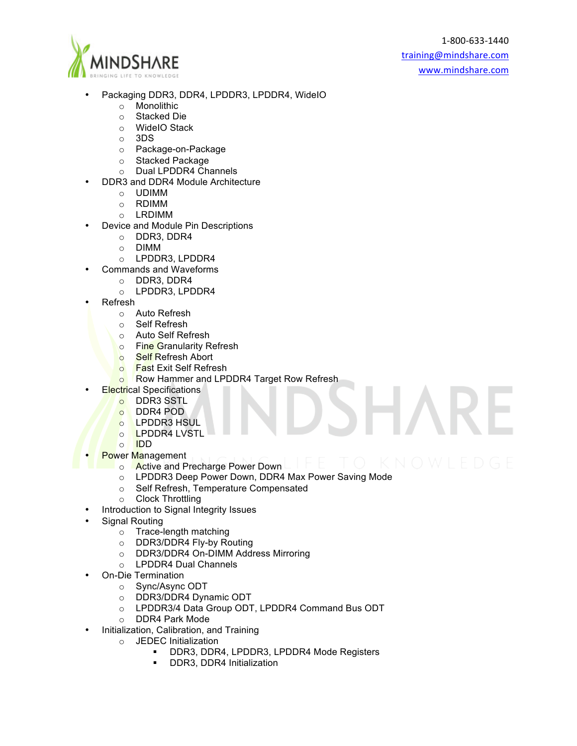

- Packaging DDR3, DDR4, LPDDR3, LPDDR4, WideIO
	- o Monolithic
	- o Stacked Die
	- o WideIO Stack
	- o 3DS
	- o Package-on-Package
	- o Stacked Package
	- o Dual LPDDR4 Channels
	- DDR3 and DDR4 Module Architecture
		- o UDIMM
		- o RDIMM
		- o LRDIMM
- Device and Module Pin Descriptions
	- o DDR3, DDR4
	- o DIMM
	- o LPDDR3, LPDDR4
- Commands and Waveforms
	- o DDR3, DDR4
	- o LPDDR3, LPDDR4
- Refresh
	- o Auto Refresh
	- o Self Refresh
	- o Auto Self Refresh
	- o Fine Granularity Refresh
	- o Self Refresh Abort
	- **o** Fast Exit Self Refresh
	- o Row Hammer and LPDDR4 Target Row Refresh
	- **Electrical Specifications** 
		- o DDR3 SSTL<br>o DDR4 POD
		- DDR4 POD
		- o LPDDR3 HSUL
		- o LPDDR4 LVSTL
		- o IDD
- **Power Management** 
	- o Active and Precharge Power Down
	- o LPDDR3 Deep Power Down, DDR4 Max Power Saving Mode
	- o Self Refresh, Temperature Compensated
	- o Clock Throttling
- Introduction to Signal Integrity Issues
- Signal Routing
	- o Trace-length matching
	- o DDR3/DDR4 Fly-by Routing
	- o DDR3/DDR4 On-DIMM Address Mirroring
	- o LPDDR4 Dual Channels
- On-Die Termination
	- o Sync/Async ODT
	- o DDR3/DDR4 Dynamic ODT
	- o LPDDR3/4 Data Group ODT, LPDDR4 Command Bus ODT
	- o DDR4 Park Mode
- Initialization, Calibration, and Training
	- o JEDEC Initialization
		- ! DDR3, DDR4, LPDDR3, LPDDR4 Mode Registers
		- ! DDR3, DDR4 Initialization